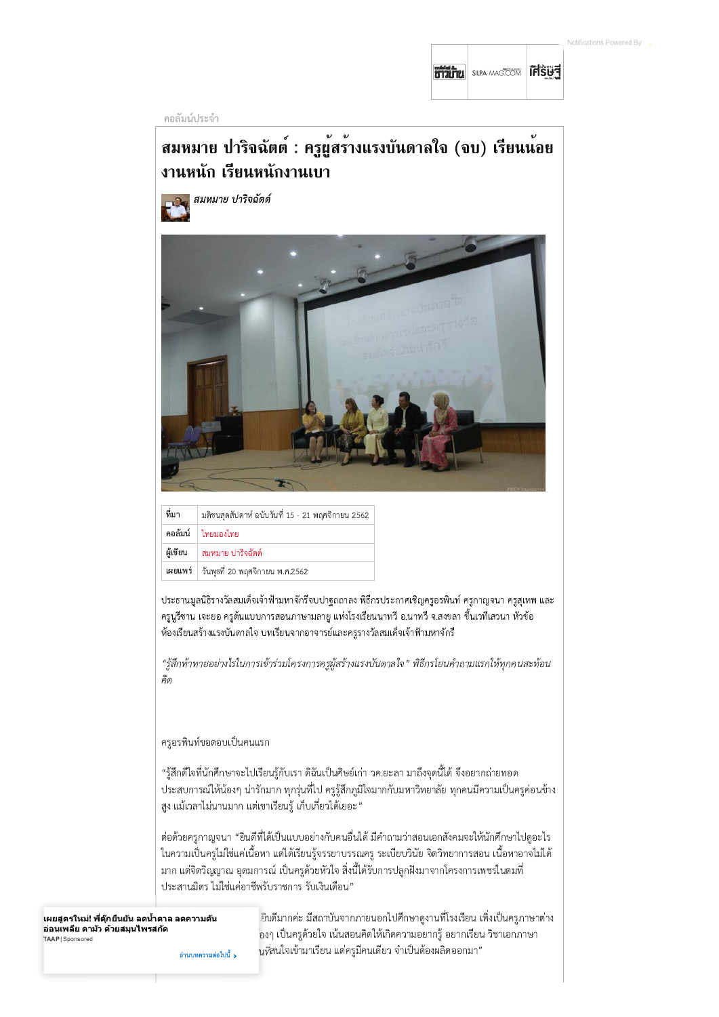**BITTELL** SILPA-MAGECOM **IFISUE** 

คอลัมน์ประจำ

## สมหมาย ปาริจฉัตต์ : ครูผู้สร้างแรงบันดาลใจ (จบ) เรียนน้อย งานหนัก เรียนหนักงานเบา

สมหมาย ปาริจฉัตต์



| ที่มา    | มติชนสุดสัปดาห์ ฉบับวันที่ 15 - 21 พฤศจิกายน 2562 |
|----------|---------------------------------------------------|
|          | คอลัมน์ ไทยมองไทย                                 |
| ผู้เขียน | สมหมาย ปาริจฉัตต์                                 |
|          | เผยแพร่   วันพุธที่ 20 พฤศจิกายน พ.ศ.2562         |
|          |                                                   |

ประธานมูลนิธิรางวัลสมเด็จเจ้าฟ้ามหาจักรีจบปาฐถถาลง พิธีกรประกาศเชิญครูอรพินท์ ครูกาญจนา ครูสุเทพ และ ้ครูนูรีซาน เจะยอ ครูต้นแบบการสอนภาษามลายู แห่งโรงเรียนนาทวี อ.นาทวี จ.สงขลา ขึ้นเวทีเสวนา หัวข้อ ห้องเรียนสร้างแรงบันดาลใจ บทเรียนจากอาจารย์และครูรางวัลสมเด็จเจ้าฟ้ามหาจักรี

"รู้สึกท้าทายอย่างไรในการเข้าร่วมโครงการครูผู้สร้างแรงบันดาลใจ" พิธีกรโยนคำถามแรกให้ทุกคนสะท้อน คิด

## ครูอรพินท์ขอตอบเป็นคนแรก

"รู้สึกดีใจที่นักศึกษาจะไปเรียนรู้กับเรา ดิฉันเป็นศิษย์เก่า วค.ยะลา มาถึงจุดนี้ได้ จึงอยากถ่ายทอด ี ประสบการณ์ให้น้องๆ น่ารักมาก ทุกรุ่นที่ไป ครูรู้สึกภูมิใจมากกับมหาวิทยาลัย ทุกคนมีความเป็นครูค่อนข้าง ่สูง แม้เวลาไม่นานมาก แต่เขาเรียนรู้ เก็บเกี่ยวได้เยอะ"

ต่อด้วยครูกาญจนา "ยินดีที่ได้เป็นแบบอย่างกับคนอื่นได้ มีคำถามว่าสอนเอกสังคมจะให้นักศึกษาไปดูอะไร ในความเป็นครูไม่ใช่แค่เนื้อหา แต่ได้เรียนรู้จรรยาบรรณครู ระเบียบวินัย จิตวิทยาการสอน เนื้อหาอาจไม่ได้ ้มาก แต่จิตวิญญาณ อุดมการณ์ เป็นครูด้วยหัวใจ สิ่งนี้ได้รับการปลูกฝังมาจากโครงการเพชรในตมที่ ประสานมิตร ไม่ใช่แค่อาชีพรับราชการ รับเงินเดือน"

้เผยสูตรใหม่! พี่ตุ๊กยืนยัน ลดน้ำตาล ลดความดัน ้อ่อนเพลีย ตามัว ด้วยสมุนไพรสกัด TAAP | Sponsored

้ยินดีมากค่ะ มีสถาบันจากภายนอกไปศึกษาดูงานที่โรงเรียน เพิ่งเป็นครูภาษาต่าง ่องๆ เป็นครูด้วยใจ เน้นสอนคิดให้เกิดความอยากรู้ อยากเรียน วิชาเอกภาษา นที่สนใจเข้ามาเรียน แต่ครูมีคนเดียว จำเป็นต้องผลิตออกมา"

อ่านบทความต่อไปนี้ **>**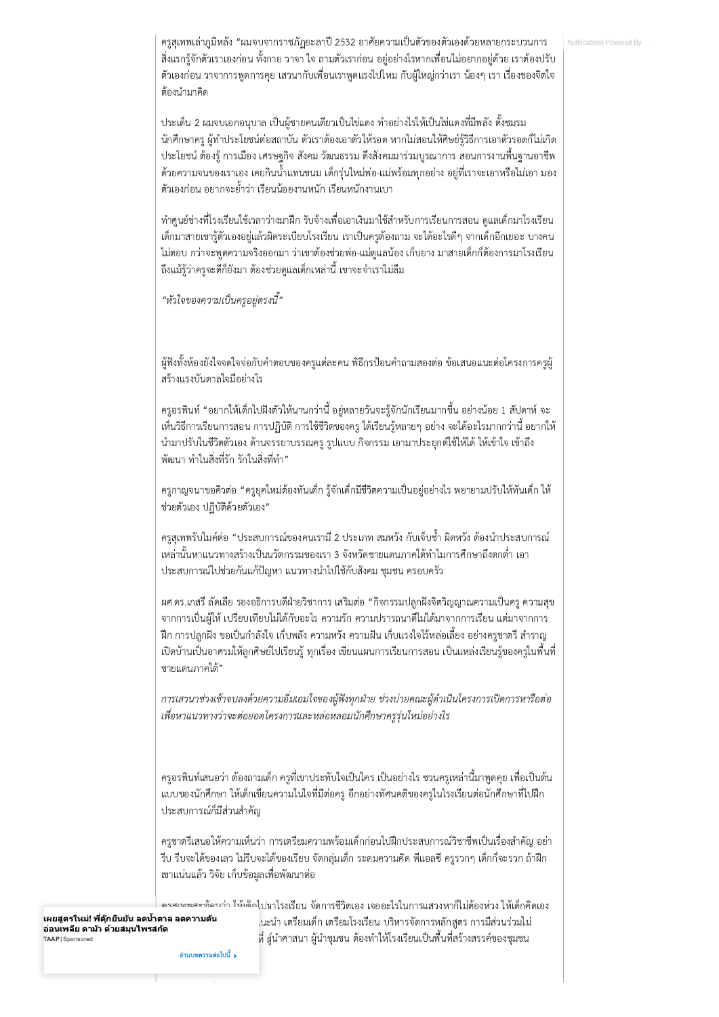ครูสุเทพเล่าภูมิหลัง "ผมจบจากราชภัฏยะลาปี 2532 อาศัยความเป็นตัวของตัวเองด้วยหลายกระบวนการ สิ่งแรกรู้จักตัวเราเองก่อน ทั้งกาย วาจา ใจ ถามตัวเราก่อน อยู่อย่างไรหากเพื่อนไม่อยากอยู่ด้วย เราต้องปรับ ้ตัวเองก่อน วาจาการพูดการคุย เสวนากับเพื่อนเราพูดแรงไปไหม กับผู้ใหญ่กว่าเรา น้องๆ เรา เรื่องของจิตใจ ต้องนำมาคิด

ี ประเด็น 2 ผมจบเอกอนุบาล เป็นผู้ชายคนเดียวเป็นไข่แดง ทำอย่างไรให้เป็นไข่แดงที่มีพลัง ตั้งชมรม ้นักศึกษาครู ผู้ทำประโยชน์ต่อสถาบัน ตัวเราต้องเอาตัวให้รอด หากไม่สอนให้ศิษย์รู้วิธีการเอาตัวรอดก็ไม่เกิด ี ประโยชน์ ต้องรู้ การเมือง เศรษฐกิจ สังคม วัฒนธรรม ดึงสังคมมาร่วมบูรณาการ สอนการงานพื้นฐานอาชีพ ้ ด้วยความจนของเราเอง เคยกินน้ำแทนขนม เด็กรุ่นใหม่พ่อ-แม่พร้อมทุกอย่าง อยู่ที่เราจะเอาหรือไม่เอา มอง ้ตัวเองก่อน อยากจะย้ำว่า เรียนน้อยงานหนัก เรียนหนักงานเบา

ทำศูนย์ช่างที่โรงเรียนใช้เวลาว่างมาฝึก รับจ้างเพื่อเอาเงินมาใช้สำหรับการเรียนการสอน ดูแลเด็กมาโรงเรียน ้เด็กมาสายเขารู้ตัวเองอยู่แล้วผิดระเบียบโรงเรียน เราเป็นครูต้องถาม จะได้อะไรดีๆ จากเด็กอีกเยอะ บางคน ไม่ตอบ กว่าจะพูดความจริงออกมา ว่าเขาต้องช่วยพ่อ-แม่ดูแลน้อง เก็บยาง มาสายเด็กก็ต้องการมาโรงเรียน ้ถึงแม้รู้ว่าครูจะตีก็ยังมา ต้องช่วยดูแลเด็กเหล่านี้ เขาจะจำเราไม่ลืม

"หัวใจของความเป็นครูอยู่ตรงนี้"

้ผู้ฟังทั้งห้องยังใจจดใจจ่อกับคำตอบของครูแต่ละคน พิธีกรป้อนคำถามสองต่อ ข้อเสนอแนะต่อโครงการครูผู้ สร้างแรงบันดาลใจมีอย่างไร

่ ครูอรพินท์ "อยากให้เด็กไปฝังตัวให้นานกว่านี้ อยู่หลายวันจะรู้จักนักเรียนมากขึ้น อย่างน้อย 1 สัปดาห์ จะ ่ เห็นวิธีการเรียนการสอน การปฏิบัติ การใช้ชีวิตของครู ได้เรียนรู้หลายๆ อย่าง จะได้อะไรมากกว่านี้ อยากให้ นำมาปรับในชีวิตตัวเอง ด้านจรรยาบรรณครู รูปแบบ กิจกรรม เอามาประยุกต์ใช้ให้ได้ ให้เข้าใจ เข้าถึง ้พัฒนา ทำในสิ่งที่รัก รักในสิ่งที่ทำ"

่ ครูกาญจนาขอคิวต่อ "ครูยุคใหม่ต้องทันเด็ก รู้จักเด็กมีชีวิตความเป็นอยู่อย่างไร พยายามปรับให้ทันเด็ก ให้ ช่วยตัวเอง ปฏิบัติด้วยตัวเอง"

่ ครูสุเทพรับไมค์ต่อ "ประสบการณ์ของคนเรามี 2 ประเภท สมหวัง กับเจ็บซ้ำ ผิดหวัง ต้องนำประสบการณ์ ่ เหล่านั้นหาแนวทางสร้างเป็นนวัตกรรมของเรา 3 จังหวัดชายแดนภาคใต้ทำไมการศึกษาถึงตกต่ำ เอา ประสบการณ์ไปช่วยกันแก้ปัญหา แนวทางนำไปใช้กับสังคม ชุมชน ครอบครัว

้ผศ.ดร.เกสรี ลัดเลีย รองอธิการบดีฝ่ายวิชาการ เสริมต่อ "กิจกรรมปลูกฝังจิตวิญญาณความเป็นครู ความสุข ิจากการเป็นผู้ให้ เปรียบเทียบไม่ได้กับอะไร ความรัก ความปรารถนาดีไม่ได้มาจากการเรียน แต่มาจากการ ้ฝึก การปลูกฝัง ขอเป็นกำลังใจ เก็บพลัง ความหวัง ความฝัน เก็บแรงใจไว้หล่อเลี้ยง อย่างครูชาตรี สำราญ ้เปิดบ้านเป็นอาศรมให้ลูกศิษย์ไปเรียนรู้ ทุกเรื่อง เขียนแผนการเรียนการสอน เป็นแหล่งเรียนรู้ของครูในพื้นที่ ชายแดนภาคใต้"

การเสวนาช่วงเช้าจบลงด้วยความอิ่มเอมใจของผู้ฟังทุกฝ่าย ช่วงบ่ายคณะผู้ดำเนินโครงการเปิดการหารือต่อ เพื่อหาแนวทางว่าจะต่อยอดโครงการและหล่อหลอมนักศึกษาครูรุ่นใหม่อย่างไร

ิ ครูอรพินท์เสนอว่า ต้องถามเด็ก ครูที่เขาประทับใจเป็นใคร เป็นอย่างไร ชวนครูเหล่านี้มาพูดคุย เพื่อเป็นต้น แบบของนักศึกษา ให้เด็กเขียนความในใจที่มีต่อครู อีกอย่างทัศนคติของครูในโรงเรียนต่อนักศึกษาที่ไปฝึก ประสบการณ์ก็มีส่วนสำคัญ

้ครูชาตรีเสนอให้ความเห็นว่า การเตรียมความพร้อมเด็กก่อนไปฝึกประสบการณ์วิชาชีพเป็นเรื่องสำคัญ อย่า รีบ รีบจะได้ของเลว ไม่รีบจะได้ของเรียบ จัดกลุ่มเด็ก ระดมความคิด พีแอลซี ครูรวกๆ เด็กก็จะรวก ถ้าฝึก เขาแน่นแล้ว วิจัย เก็บข้อมูลเพื่อพัฒนาต่อ

ครสเทพสะท้อบว่า ให้เด็กไปหาโรงเรียน จัดการชีวิตเอง เจออะไรในการแสวงหาก็ไม่ต้องห่วง ให้เด็กคิดเอง

้เผยสูตรใหม่! พี่ตุ๊กยืนยัน ลดน้ำตาล ลดความดัน ้อ่อนเพลีย ตามัว ด้วยสมุนไพรสกัด TAAP | Sponsored

้นะน้ำ เตรียมเด็ก เตรียมโรงเรียน บริหารจัดการหลักสูตร การมีส่วนร่วมไม่ ที่ ผู้นำศาสนา ผู้นำชุมชน ต้องทำให้โรงเรียนเป็นพื้นที่สร้างสรรค์ของชุมชน

้อ่านบทความต่อไปนี้ **>**